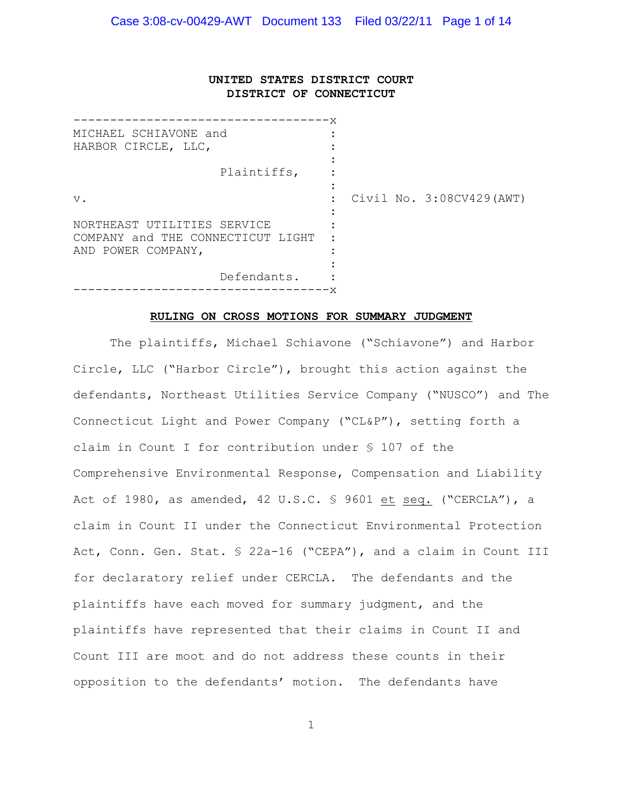# **UNITED STATES DISTRICT COURT DISTRICT OF CONNECTICUT**

| MICHAEL SCHIAVONE and<br>HARBOR CIRCLE, LLC, |                |                          |
|----------------------------------------------|----------------|--------------------------|
|                                              |                |                          |
| Plaintiffs,                                  |                |                          |
|                                              |                |                          |
| $V$ .                                        | $\ddot{\cdot}$ | Civil No. 3:08CV429(AWT) |
|                                              |                |                          |
| NORTHEAST UTILITIES SERVICE                  |                |                          |
| COMPANY and THE CONNECTICUT LIGHT            |                |                          |
| AND POWER COMPANY,                           |                |                          |
|                                              |                |                          |
| Defendants.                                  |                |                          |
|                                              |                |                          |

#### **RULING ON CROSS MOTIONS FOR SUMMARY JUDGMENT**

The plaintiffs, Michael Schiavone ("Schiavone") and Harbor Circle, LLC ("Harbor Circle"), brought this action against the defendants, Northeast Utilities Service Company ("NUSCO") and The Connecticut Light and Power Company ("CL&P"), setting forth a claim in Count I for contribution under § 107 of the Comprehensive Environmental Response, Compensation and Liability Act of 1980, as amended, 42 U.S.C. § 9601 et seq. ("CERCLA"), a claim in Count II under the Connecticut Environmental Protection Act, Conn. Gen. Stat. § 22a-16 ("CEPA"), and a claim in Count III for declaratory relief under CERCLA. The defendants and the plaintiffs have each moved for summary judgment, and the plaintiffs have represented that their claims in Count II and Count III are moot and do not address these counts in their opposition to the defendants' motion. The defendants have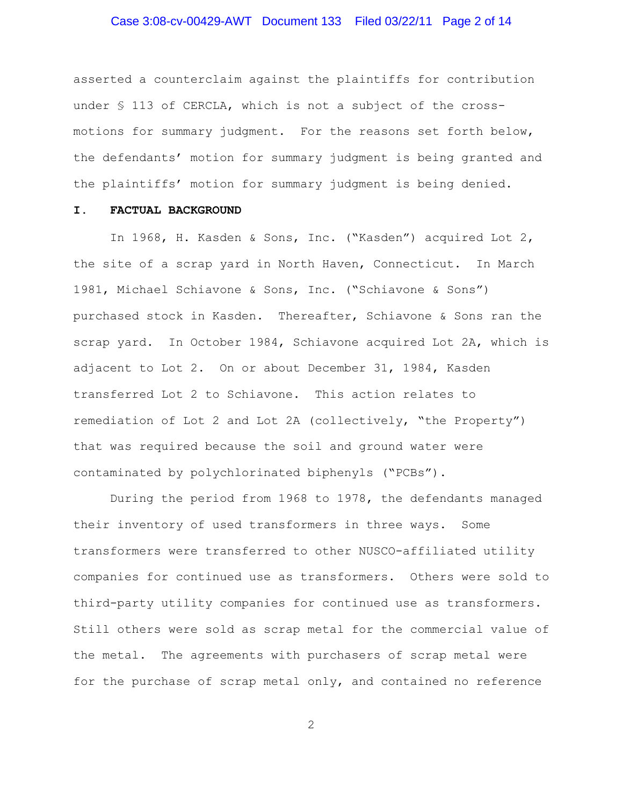# Case 3:08-cv-00429-AWT Document 133 Filed 03/22/11 Page 2 of 14

asserted a counterclaim against the plaintiffs for contribution under § 113 of CERCLA, which is not a subject of the crossmotions for summary judgment. For the reasons set forth below, the defendants' motion for summary judgment is being granted and the plaintiffs' motion for summary judgment is being denied.

#### **I. FACTUAL BACKGROUND**

In 1968, H. Kasden & Sons, Inc. ("Kasden") acquired Lot 2, the site of a scrap yard in North Haven, Connecticut. In March 1981, Michael Schiavone & Sons, Inc. ("Schiavone & Sons") purchased stock in Kasden. Thereafter, Schiavone & Sons ran the scrap yard. In October 1984, Schiavone acquired Lot 2A, which is adjacent to Lot 2. On or about December 31, 1984, Kasden transferred Lot 2 to Schiavone. This action relates to remediation of Lot 2 and Lot 2A (collectively, "the Property") that was required because the soil and ground water were contaminated by polychlorinated biphenyls ("PCBs").

During the period from 1968 to 1978, the defendants managed their inventory of used transformers in three ways. Some transformers were transferred to other NUSCO-affiliated utility companies for continued use as transformers. Others were sold to third-party utility companies for continued use as transformers. Still others were sold as scrap metal for the commercial value of the metal. The agreements with purchasers of scrap metal were for the purchase of scrap metal only, and contained no reference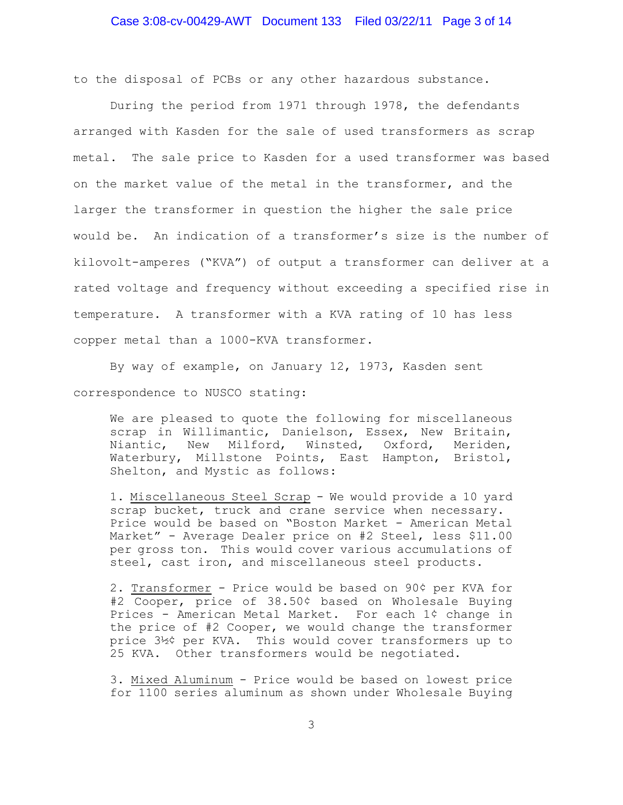to the disposal of PCBs or any other hazardous substance.

During the period from 1971 through 1978, the defendants arranged with Kasden for the sale of used transformers as scrap metal. The sale price to Kasden for a used transformer was based on the market value of the metal in the transformer, and the larger the transformer in question the higher the sale price would be. An indication of a transformer's size is the number of kilovolt-amperes ("KVA") of output a transformer can deliver at a rated voltage and frequency without exceeding a specified rise in temperature. A transformer with a KVA rating of 10 has less copper metal than a 1000-KVA transformer.

By way of example, on January 12, 1973, Kasden sent correspondence to NUSCO stating:

We are pleased to quote the following for miscellaneous scrap in Willimantic, Danielson, Essex, New Britain, Niantic, New Milford, Winsted, Oxford, Meriden, Waterbury, Millstone Points, East Hampton, Bristol, Shelton, and Mystic as follows:

1. Miscellaneous Steel Scrap - We would provide a 10 yard scrap bucket, truck and crane service when necessary. Price would be based on "Boston Market - American Metal Market" - Average Dealer price on #2 Steel, less \$11.00 per gross ton. This would cover various accumulations of steel, cast iron, and miscellaneous steel products.

2. Transformer - Price would be based on 90¢ per KVA for #2 Cooper, price of 38.50¢ based on Wholesale Buying Prices - American Metal Market. For each 1¢ change in the price of #2 Cooper, we would change the transformer price 3½¢ per KVA. This would cover transformers up to 25 KVA. Other transformers would be negotiated.

3. Mixed Aluminum - Price would be based on lowest price for 1100 series aluminum as shown under Wholesale Buying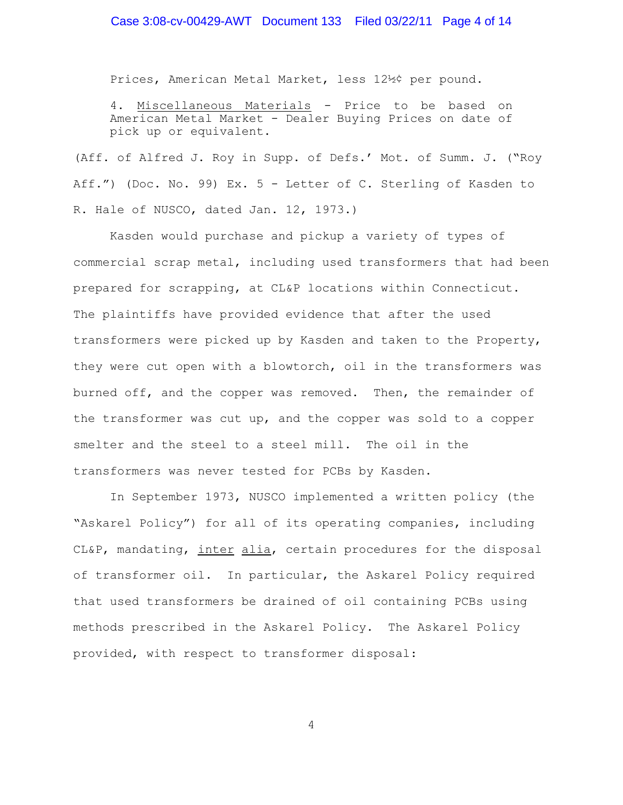# Case 3:08-cv-00429-AWT Document 133 Filed 03/22/11 Page 4 of 14

Prices, American Metal Market, less 12½¢ per pound.

4. Miscellaneous Materials - Price to be based on American Metal Market - Dealer Buying Prices on date of pick up or equivalent.

(Aff. of Alfred J. Roy in Supp. of Defs.' Mot. of Summ. J. ("Roy Aff.") (Doc. No. 99) Ex. 5 - Letter of C. Sterling of Kasden to R. Hale of NUSCO, dated Jan. 12, 1973.)

Kasden would purchase and pickup a variety of types of commercial scrap metal, including used transformers that had been prepared for scrapping, at CL&P locations within Connecticut. The plaintiffs have provided evidence that after the used transformers were picked up by Kasden and taken to the Property, they were cut open with a blowtorch, oil in the transformers was burned off, and the copper was removed. Then, the remainder of the transformer was cut up, and the copper was sold to a copper smelter and the steel to a steel mill. The oil in the transformers was never tested for PCBs by Kasden.

In September 1973, NUSCO implemented a written policy (the "Askarel Policy") for all of its operating companies, including CL&P, mandating, inter alia, certain procedures for the disposal of transformer oil. In particular, the Askarel Policy required that used transformers be drained of oil containing PCBs using methods prescribed in the Askarel Policy. The Askarel Policy provided, with respect to transformer disposal: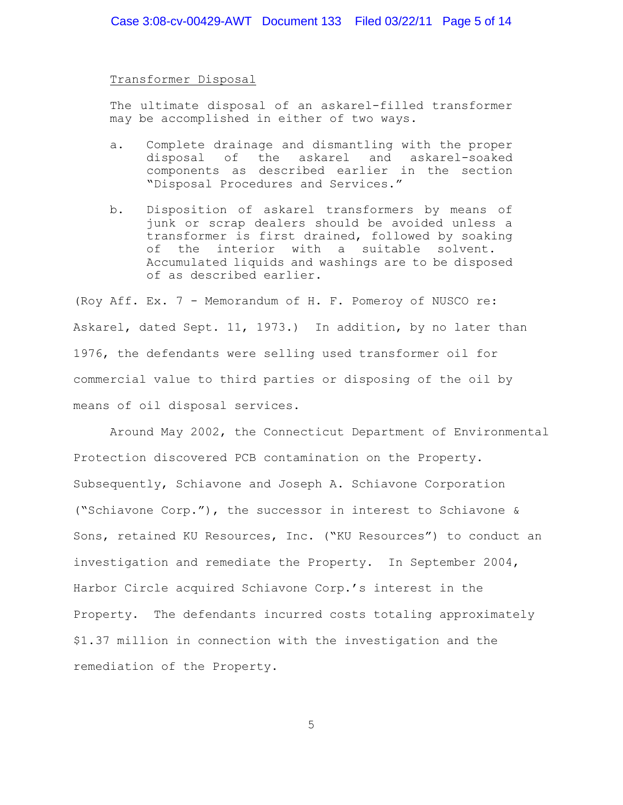Transformer Disposal

The ultimate disposal of an askarel-filled transformer may be accomplished in either of two ways.

- a. Complete drainage and dismantling with the proper disposal of the askarel and askarel-soaked components as described earlier in the section "Disposal Procedures and Services."
- b. Disposition of askarel transformers by means of junk or scrap dealers should be avoided unless a transformer is first drained, followed by soaking of the interior with a suitable solvent. Accumulated liquids and washings are to be disposed of as described earlier.

(Roy Aff. Ex. 7 - Memorandum of H. F. Pomeroy of NUSCO re: Askarel, dated Sept. 11, 1973.) In addition, by no later than 1976, the defendants were selling used transformer oil for commercial value to third parties or disposing of the oil by means of oil disposal services.

Around May 2002, the Connecticut Department of Environmental Protection discovered PCB contamination on the Property. Subsequently, Schiavone and Joseph A. Schiavone Corporation ("Schiavone Corp."), the successor in interest to Schiavone & Sons, retained KU Resources, Inc. ("KU Resources") to conduct an investigation and remediate the Property. In September 2004, Harbor Circle acquired Schiavone Corp.'s interest in the Property. The defendants incurred costs totaling approximately \$1.37 million in connection with the investigation and the remediation of the Property.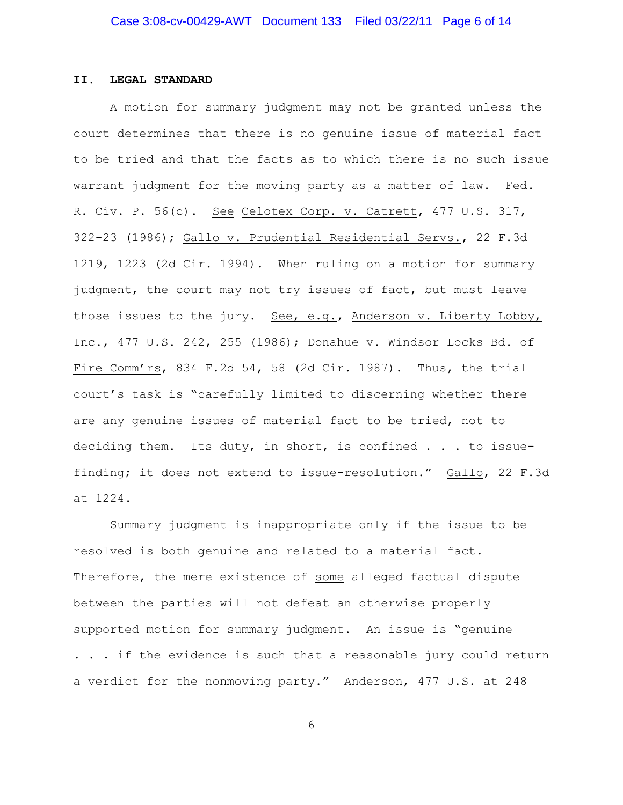#### **II. LEGAL STANDARD**

A motion for summary judgment may not be granted unless the court determines that there is no genuine issue of material fact to be tried and that the facts as to which there is no such issue warrant judgment for the moving party as a matter of law. Fed. R. Civ. P. 56(c). See Celotex Corp. v. Catrett, 477 U.S. 317, 322-23 (1986); Gallo v. Prudential Residential Servs., 22 F.3d 1219, 1223 (2d Cir. 1994). When ruling on a motion for summary judgment, the court may not try issues of fact, but must leave those issues to the jury. See, e.g., Anderson v. Liberty Lobby, Inc., 477 U.S. 242, 255 (1986); Donahue v. Windsor Locks Bd. of Fire Comm'rs, 834 F.2d 54, 58 (2d Cir. 1987). Thus, the trial court's task is "carefully limited to discerning whether there are any genuine issues of material fact to be tried, not to deciding them. Its duty, in short, is confined . . . to issuefinding; it does not extend to issue-resolution." Gallo, 22 F.3d at 1224.

Summary judgment is inappropriate only if the issue to be resolved is both genuine and related to a material fact. Therefore, the mere existence of some alleged factual dispute between the parties will not defeat an otherwise properly supported motion for summary judgment. An issue is "genuine . . . if the evidence is such that a reasonable jury could return a verdict for the nonmoving party." Anderson, 477 U.S. at 248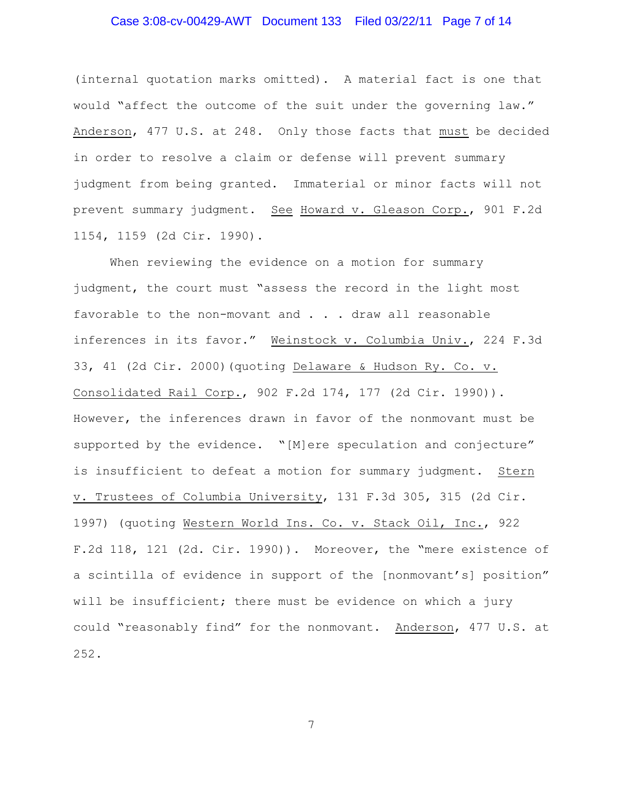# Case 3:08-cv-00429-AWT Document 133 Filed 03/22/11 Page 7 of 14

(internal quotation marks omitted). A material fact is one that would "affect the outcome of the suit under the governing law." Anderson, 477 U.S. at 248. Only those facts that must be decided in order to resolve a claim or defense will prevent summary judgment from being granted. Immaterial or minor facts will not prevent summary judgment. See Howard v. Gleason Corp., 901 F.2d 1154, 1159 (2d Cir. 1990).

When reviewing the evidence on a motion for summary judgment, the court must "assess the record in the light most favorable to the non-movant and . . . draw all reasonable inferences in its favor." Weinstock v. Columbia Univ., 224 F.3d 33, 41 (2d Cir. 2000)(quoting Delaware & Hudson Ry. Co. v. Consolidated Rail Corp., 902 F.2d 174, 177 (2d Cir. 1990)). However, the inferences drawn in favor of the nonmovant must be supported by the evidence. "[M]ere speculation and conjecture" is insufficient to defeat a motion for summary judgment. Stern v. Trustees of Columbia University, 131 F.3d 305, 315 (2d Cir. 1997) (quoting Western World Ins. Co. v. Stack Oil, Inc., 922 F.2d 118, 121 (2d. Cir. 1990)). Moreover, the "mere existence of a scintilla of evidence in support of the [nonmovant's] position" will be insufficient; there must be evidence on which a jury could "reasonably find" for the nonmovant. Anderson, 477 U.S. at 252.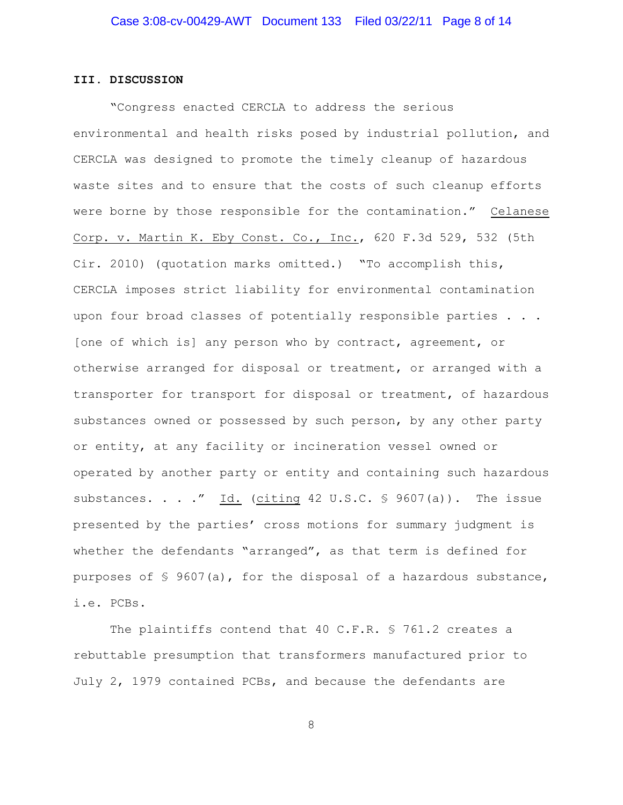### **III. DISCUSSION**

"Congress enacted CERCLA to address the serious environmental and health risks posed by industrial pollution, and CERCLA was designed to promote the timely cleanup of hazardous waste sites and to ensure that the costs of such cleanup efforts were borne by those responsible for the contamination." Celanese Corp. v. Martin K. Eby Const. Co., Inc., 620 F.3d 529, 532 (5th Cir. 2010) (quotation marks omitted.) "To accomplish this, CERCLA imposes strict liability for environmental contamination upon four broad classes of potentially responsible parties . . . [one of which is] any person who by contract, agreement, or otherwise arranged for disposal or treatment, or arranged with a transporter for transport for disposal or treatment, of hazardous substances owned or possessed by such person, by any other party or entity, at any facility or incineration vessel owned or operated by another party or entity and containing such hazardous substances. . . ." Id. (citing 42 U.S.C.  $\frac{6}{5}$  9607(a)). The issue presented by the parties' cross motions for summary judgment is whether the defendants "arranged", as that term is defined for purposes of  $\frac{1}{5}$  9607(a), for the disposal of a hazardous substance, i.e. PCBs.

The plaintiffs contend that 40 C.F.R. § 761.2 creates a rebuttable presumption that transformers manufactured prior to July 2, 1979 contained PCBs, and because the defendants are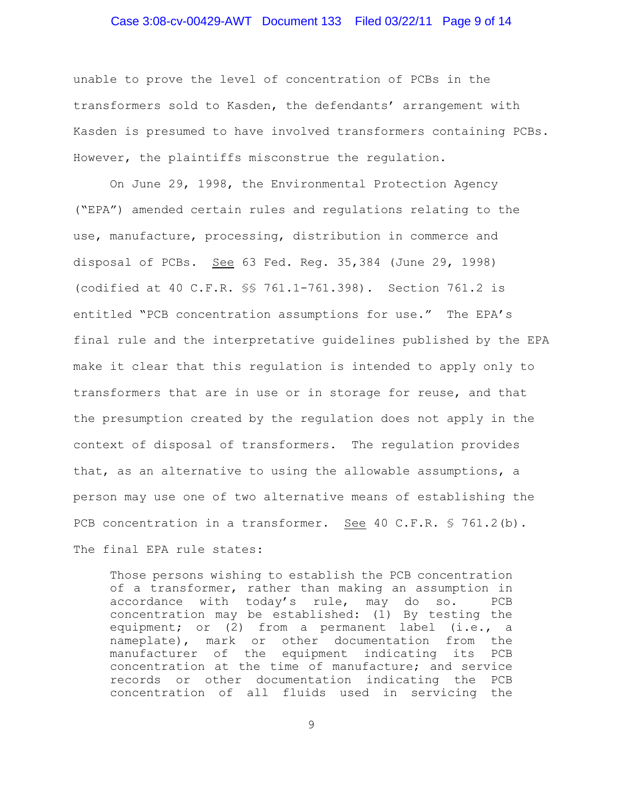# Case 3:08-cv-00429-AWT Document 133 Filed 03/22/11 Page 9 of 14

unable to prove the level of concentration of PCBs in the transformers sold to Kasden, the defendants' arrangement with Kasden is presumed to have involved transformers containing PCBs. However, the plaintiffs misconstrue the regulation.

On June 29, 1998, the Environmental Protection Agency ("EPA") amended certain rules and regulations relating to the use, manufacture, processing, distribution in commerce and disposal of PCBs. See 63 Fed. Reg. 35,384 (June 29, 1998) (codified at 40 C.F.R. §§ 761.1-761.398). Section 761.2 is entitled "PCB concentration assumptions for use." The EPA's final rule and the interpretative guidelines published by the EPA make it clear that this regulation is intended to apply only to transformers that are in use or in storage for reuse, and that the presumption created by the regulation does not apply in the context of disposal of transformers. The regulation provides that, as an alternative to using the allowable assumptions, a person may use one of two alternative means of establishing the PCB concentration in a transformer. See 40 C.F.R. \$ 761.2(b). The final EPA rule states:

Those persons wishing to establish the PCB concentration of a transformer, rather than making an assumption in accordance with today's rule, may do so. PCB concentration may be established: (1) By testing the equipment; or (2) from a permanent label (i.e., a nameplate), mark or other documentation from the manufacturer of the equipment indicating its PCB concentration at the time of manufacture; and service records or other documentation indicating the PCB concentration of all fluids used in servicing the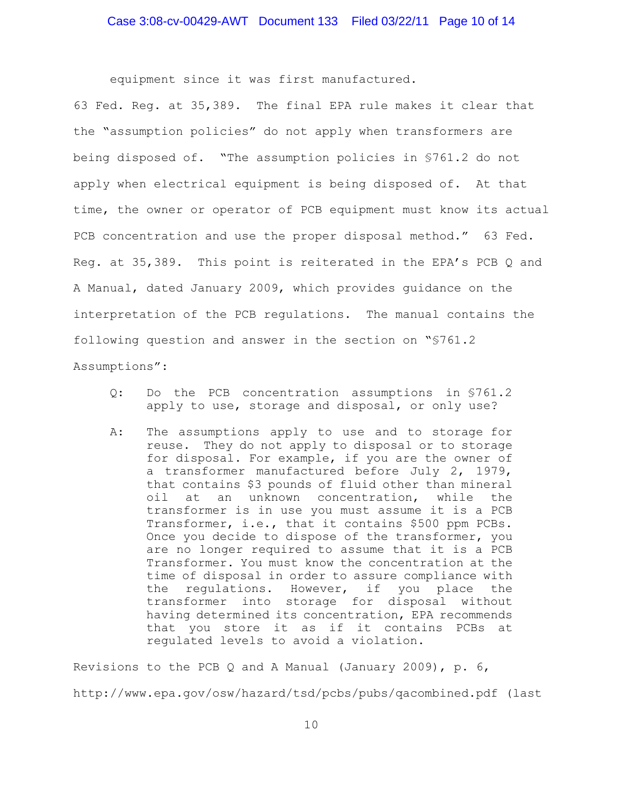equipment since it was first manufactured.

63 Fed. Reg. at 35,389. The final EPA rule makes it clear that the "assumption policies" do not apply when transformers are being disposed of. "The assumption policies in §761.2 do not apply when electrical equipment is being disposed of. At that time, the owner or operator of PCB equipment must know its actual PCB concentration and use the proper disposal method." 63 Fed. Reg. at 35,389. This point is reiterated in the EPA's PCB Q and A Manual, dated January 2009, which provides guidance on the interpretation of the PCB regulations. The manual contains the following question and answer in the section on "§761.2 Assumptions":

- Q: Do the PCB concentration assumptions in §761.2 apply to use, storage and disposal, or only use?
- A: The assumptions apply to use and to storage for reuse. They do not apply to disposal or to storage for disposal. For example, if you are the owner of a transformer manufactured before July 2, 1979, that contains \$3 pounds of fluid other than mineral oil at an unknown concentration, while the transformer is in use you must assume it is a PCB Transformer, i.e., that it contains \$500 ppm PCBs. Once you decide to dispose of the transformer, you are no longer required to assume that it is a PCB Transformer. You must know the concentration at the time of disposal in order to assure compliance with the regulations. However, if you place the transformer into storage for disposal without having determined its concentration, EPA recommends that you store it as if it contains PCBs at regulated levels to avoid a violation.

Revisions to the PCB  $Q$  and A Manual (January 2009), p.  $6$ , http://www.epa.gov/osw/hazard/tsd/pcbs/pubs/qacombined.pdf (last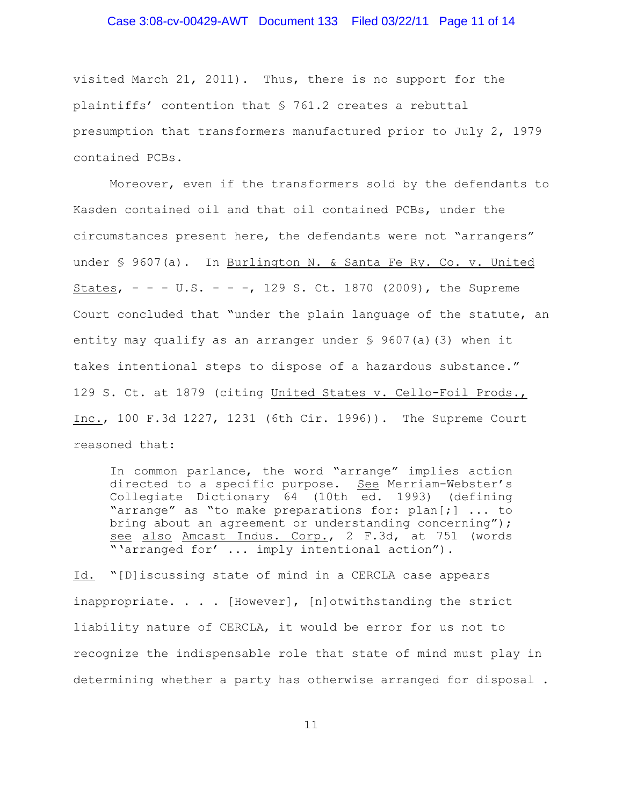# Case 3:08-cv-00429-AWT Document 133 Filed 03/22/11 Page 11 of 14

visited March 21, 2011). Thus, there is no support for the plaintiffs' contention that § 761.2 creates a rebuttal presumption that transformers manufactured prior to July 2, 1979 contained PCBs.

Moreover, even if the transformers sold by the defendants to Kasden contained oil and that oil contained PCBs, under the circumstances present here, the defendants were not "arrangers" under § 9607(a). In Burlington N. & Santa Fe Ry. Co. v. United States,  $- - - U.S. - - -$ , 129 S. Ct. 1870 (2009), the Supreme Court concluded that "under the plain language of the statute, an entity may qualify as an arranger under  $\frac{1}{5}$  9607(a)(3) when it takes intentional steps to dispose of a hazardous substance." 129 S. Ct. at 1879 (citing United States v. Cello-Foil Prods., Inc., 100 F.3d 1227, 1231 (6th Cir. 1996)). The Supreme Court reasoned that:

In common parlance, the word "arrange" implies action directed to a specific purpose. See Merriam-Webster's Collegiate Dictionary 64 (10th ed. 1993) (defining "arrange" as "to make preparations for: plan[;] ... to bring about an agreement or understanding concerning"); see also Amcast Indus. Corp., 2 F.3d, at 751 (words "'arranged for' ... imply intentional action").

Id. "[D]iscussing state of mind in a CERCLA case appears inappropriate. . . . [However], [n]otwithstanding the strict liability nature of CERCLA, it would be error for us not to recognize the indispensable role that state of mind must play in determining whether a party has otherwise arranged for disposal .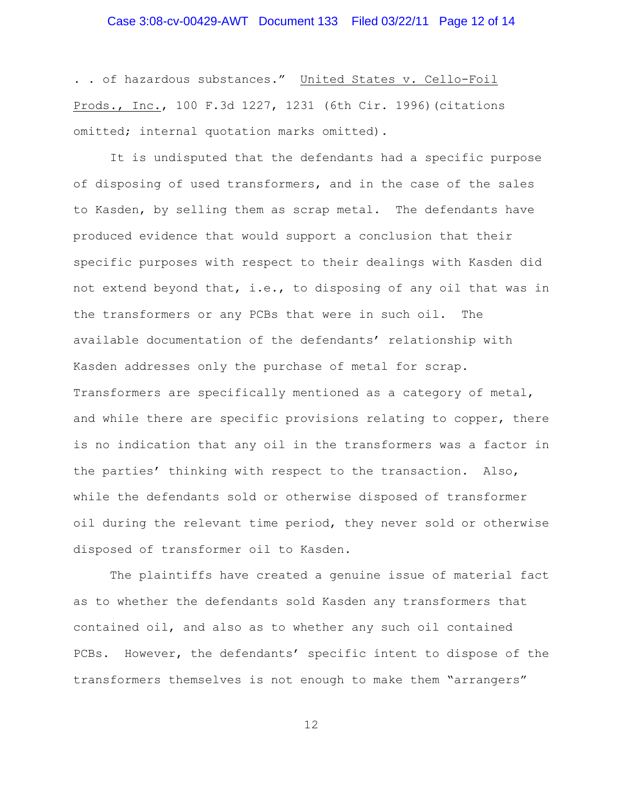# Case 3:08-cv-00429-AWT Document 133 Filed 03/22/11 Page 12 of 14

. . of hazardous substances." United States v. Cello-Foil Prods., Inc., 100 F.3d 1227, 1231 (6th Cir. 1996)(citations omitted; internal quotation marks omitted).

It is undisputed that the defendants had a specific purpose of disposing of used transformers, and in the case of the sales to Kasden, by selling them as scrap metal. The defendants have produced evidence that would support a conclusion that their specific purposes with respect to their dealings with Kasden did not extend beyond that, i.e., to disposing of any oil that was in the transformers or any PCBs that were in such oil. The available documentation of the defendants' relationship with Kasden addresses only the purchase of metal for scrap. Transformers are specifically mentioned as a category of metal, and while there are specific provisions relating to copper, there is no indication that any oil in the transformers was a factor in the parties' thinking with respect to the transaction. Also, while the defendants sold or otherwise disposed of transformer oil during the relevant time period, they never sold or otherwise disposed of transformer oil to Kasden.

The plaintiffs have created a genuine issue of material fact as to whether the defendants sold Kasden any transformers that contained oil, and also as to whether any such oil contained PCBs. However, the defendants' specific intent to dispose of the transformers themselves is not enough to make them "arrangers"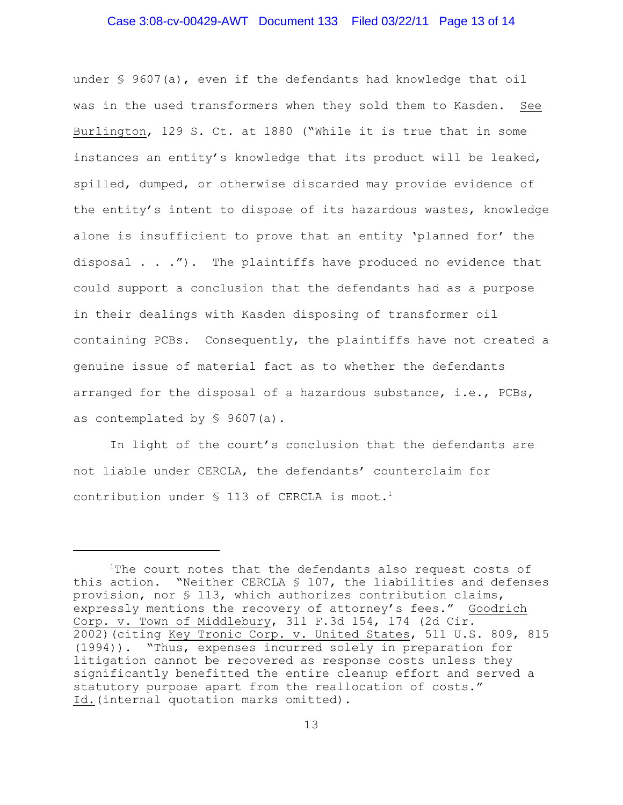# Case 3:08-cv-00429-AWT Document 133 Filed 03/22/11 Page 13 of 14

under § 9607(a), even if the defendants had knowledge that oil was in the used transformers when they sold them to Kasden. See Burlington, 129 S. Ct. at 1880 ("While it is true that in some instances an entity's knowledge that its product will be leaked, spilled, dumped, or otherwise discarded may provide evidence of the entity's intent to dispose of its hazardous wastes, knowledge alone is insufficient to prove that an entity 'planned for' the disposal . . ."). The plaintiffs have produced no evidence that could support a conclusion that the defendants had as a purpose in their dealings with Kasden disposing of transformer oil containing PCBs. Consequently, the plaintiffs have not created a genuine issue of material fact as to whether the defendants arranged for the disposal of a hazardous substance, i.e., PCBs, as contemplated by § 9607(a).

In light of the court's conclusion that the defendants are not liable under CERCLA, the defendants' counterclaim for contribution under  $\S$  113 of CERCLA is moot.<sup>1</sup>

 $1$ The court notes that the defendants also request costs of this action. "Neither CERCLA § 107, the liabilities and defenses provision, nor § 113, which authorizes contribution claims, expressly mentions the recovery of attorney's fees." Goodrich Corp. v. Town of Middlebury, 311 F.3d 154, 174 (2d Cir. 2002)(citing Key Tronic Corp. v. United States, 511 U.S. 809, 815 (1994)). "Thus, expenses incurred solely in preparation for litigation cannot be recovered as response costs unless they significantly benefitted the entire cleanup effort and served a statutory purpose apart from the reallocation of costs." Id.(internal quotation marks omitted).